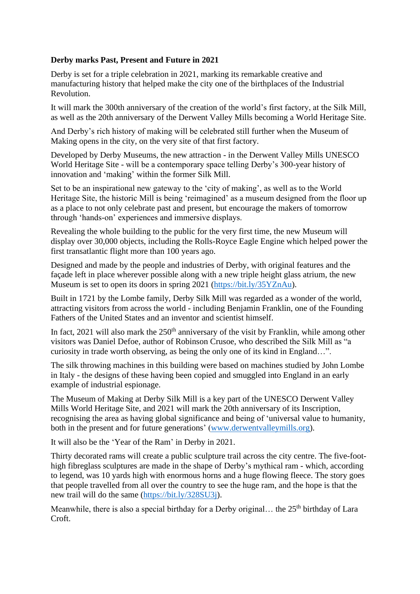## **Derby marks Past, Present and Future in 2021**

Derby is set for a triple celebration in 2021, marking its remarkable creative and manufacturing history that helped make the city one of the birthplaces of the Industrial Revolution.

It will mark the 300th anniversary of the creation of the world's first factory, at the Silk Mill, as well as the 20th anniversary of the Derwent Valley Mills becoming a World Heritage Site.

And Derby's rich history of making will be celebrated still further when the Museum of Making opens in the city, on the very site of that first factory.

Developed by Derby Museums, the new attraction - in the Derwent Valley Mills UNESCO World Heritage Site - will be a contemporary space telling Derby's 300-year history of innovation and 'making' within the former Silk Mill.

Set to be an inspirational new gateway to the 'city of making', as well as to the World Heritage Site, the historic Mill is being 'reimagined' as a museum designed from the floor up as a place to not only celebrate past and present, but encourage the makers of tomorrow through 'hands-on' experiences and immersive displays.

Revealing the whole building to the public for the very first time, the new Museum will display over 30,000 objects, including the Rolls-Royce Eagle Engine which helped power the first transatlantic flight more than 100 years ago.

Designed and made by the people and industries of Derby, with original features and the façade left in place wherever possible along with a new triple height glass atrium, the new Museum is set to open its doors in spring 2021 [\(https://bit.ly/35YZnAu\)](https://bit.ly/35YZnAu).

Built in 1721 by the Lombe family, Derby Silk Mill was regarded as a wonder of the world, attracting visitors from across the world - including Benjamin Franklin, one of the Founding Fathers of the United States and an inventor and scientist himself.

In fact, 2021 will also mark the  $250<sup>th</sup>$  anniversary of the visit by Franklin, while among other visitors was Daniel Defoe, author of Robinson Crusoe, who described the Silk Mill as "a curiosity in trade worth observing, as being the only one of its kind in England…".

The silk throwing machines in this building were based on machines studied by John Lombe in Italy - the designs of these having been copied and smuggled into England in an early example of industrial espionage.

The Museum of Making at Derby Silk Mill is a key part of the UNESCO Derwent Valley Mills World Heritage Site, and 2021 will mark the 20th anniversary of its Inscription, recognising the area as having global significance and being of 'universal value to humanity, both in the present and for future generations' [\(www.derwentvalleymills.org\)](http://www.derwentvalleymills.org/).

It will also be the 'Year of the Ram' in Derby in 2021.

Thirty decorated rams will create a public sculpture trail across the city centre. The five-foothigh fibreglass sculptures are made in the shape of Derby's mythical ram - which, according to legend, was 10 yards high with enormous horns and a huge flowing fleece. The story goes that people travelled from all over the country to see the huge ram, and the hope is that the new trail will do the same [\(https://bit.ly/328SU3j\)](https://bit.ly/328SU3j).

Meanwhile, there is also a special birthday for a Derby original... the  $25<sup>th</sup>$  birthday of Lara Croft.